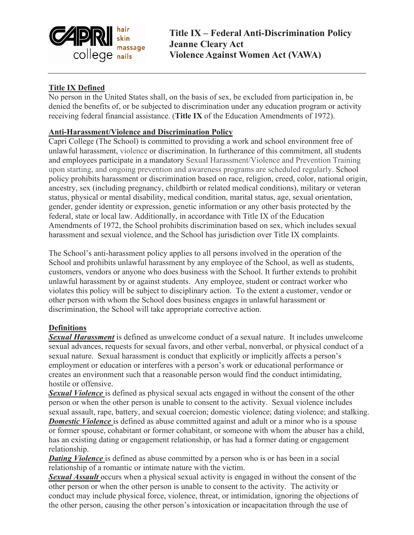

**Title IX – Federal Anti-Discrimination Policy Jeanne Cleary Act Violence Against Women Act (VAWA)**

# **Title IX Defined**

No person in the United States shall, on the basis of sex, be excluded from participation in, be denied the benefits of, or be subjected to discrimination under any education program or activity receiving federal financial assistance. (**Title IX** of the Education Amendments of 1972).

## **Anti-Harassment/Violence and Discrimination Policy**

Capri College (The School) is committed to providing a work and school environment free of unlawful harassment, violence or discrimination. In furtherance of this commitment, all students and employees participate in a mandatory Sexual Harassment/Violence and Prevention Training upon starting, and ongoing prevention and awareness programs are scheduled regularly. School policy prohibits harassment or discrimination based on race, religion, creed, color, national origin, ancestry, sex (including pregnancy, childbirth or related medical conditions), military or veteran status, physical or mental disability, medical condition, marital status, age, sexual orientation, gender, gender identity or expression, genetic information or any other basis protected by the federal, state or local law. Additionally, in accordance with Title IX of the Education Amendments of 1972, the School prohibits discrimination based on sex, which includes sexual harassment and sexual violence, and the School has jurisdiction over Title IX complaints.

The School's anti-harassment policy applies to all persons involved in the operation of the School and prohibits unlawful harassment by any employee of the School, as well as students, customers, vendors or anyone who does business with the School. It further extends to prohibit unlawful harassment by or against students. Any employee, student or contract worker who violates this policy will be subject to disciplinary action. To the extent a customer, vendor or other person with whom the School does business engages in unlawful harassment or discrimination, the School will take appropriate corrective action.

### **Definitions**

*Sexual Harassment* is defined as unwelcome conduct of a sexual nature. It includes unwelcome sexual advances, requests for sexual favors, and other verbal, nonverbal, or physical conduct of a sexual nature. Sexual harassment is conduct that explicitly or implicitly affects a person's employment or education or interferes with a person's work or educational performance or creates an environment such that a reasonable person would find the conduct intimidating, hostile or offensive.

*Sexual Violence* is defined as physical sexual acts engaged in without the consent of the other person or when the other person is unable to consent to the activity. Sexual violence includes sexual assault, rape, battery, and sexual coercion; domestic violence; dating violence; and stalking. **Domestic Violence** is defined as abuse committed against and adult or a minor who is a spouse or former spouse, cohabitant or former cohabitant, or someone with whom the abuser has a child, has an existing dating or engagement relationship, or has had a former dating or engagement relationship.

**Dating Violence** is defined as abuse committed by a person who is or has been in a social relationship of a romantic or intimate nature with the victim.

*Sexual Assault* occurs when a physical sexual activity is engaged in without the consent of the other person or when the other person is unable to consent to the activity. The activity or conduct may include physical force, violence, threat, or intimidation, ignoring the objections of the other person, causing the other person's intoxication or incapacitation through the use of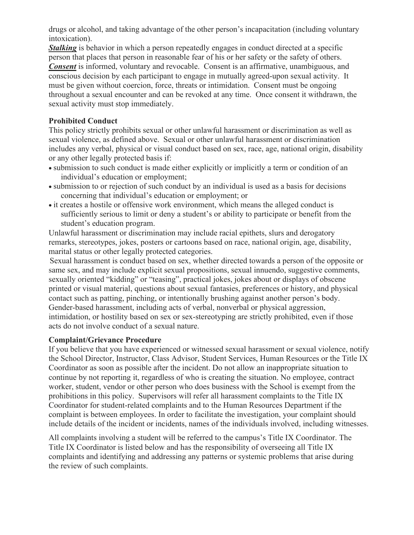drugs or alcohol, and taking advantage of the other person's incapacitation (including voluntary intoxication).

*Stalking* is behavior in which a person repeatedly engages in conduct directed at a specific person that places that person in reasonable fear of his or her safety or the safety of others. *Consent* is informed, voluntary and revocable. Consent is an affirmative, unambiguous, and conscious decision by each participant to engage in mutually agreed-upon sexual activity. It must be given without coercion, force, threats or intimidation. Consent must be ongoing throughout a sexual encounter and can be revoked at any time. Once consent it withdrawn, the sexual activity must stop immediately.

## **Prohibited Conduct**

This policy strictly prohibits sexual or other unlawful harassment or discrimination as well as sexual violence, as defined above. Sexual or other unlawful harassment or discrimination includes any verbal, physical or visual conduct based on sex, race, age, national origin, disability or any other legally protected basis if:

- submission to such conduct is made either explicitly or implicitly a term or condition of an individual's education or employment;
- submission to or rejection of such conduct by an individual is used as a basis for decisions concerning that individual's education or employment; or
- it creates a hostile or offensive work environment, which means the alleged conduct is sufficiently serious to limit or deny a student's or ability to participate or benefit from the student's education program.

Unlawful harassment or discrimination may include racial epithets, slurs and derogatory remarks, stereotypes, jokes, posters or cartoons based on race, national origin, age, disability, marital status or other legally protected categories.

Sexual harassment is conduct based on sex, whether directed towards a person of the opposite or same sex, and may include explicit sexual propositions, sexual innuendo, suggestive comments, sexually oriented "kidding" or "teasing", practical jokes, jokes about or displays of obscene printed or visual material, questions about sexual fantasies, preferences or history, and physical contact such as patting, pinching, or intentionally brushing against another person's body. Gender-based harassment, including acts of verbal, nonverbal or physical aggression, intimidation, or hostility based on sex or sex-stereotyping are strictly prohibited, even if those acts do not involve conduct of a sexual nature.

### **Complaint/Grievance Procedure**

If you believe that you have experienced or witnessed sexual harassment or sexual violence, notify the School Director, Instructor, Class Advisor, Student Services, Human Resources or the Title IX Coordinator as soon as possible after the incident. Do not allow an inappropriate situation to continue by not reporting it, regardless of who is creating the situation. No employee, contract worker, student, vendor or other person who does business with the School is exempt from the prohibitions in this policy. Supervisors will refer all harassment complaints to the Title IX Coordinator for student-related complaints and to the Human Resources Department if the complaint is between employees. In order to facilitate the investigation, your complaint should include details of the incident or incidents, names of the individuals involved, including witnesses.

All complaints involving a student will be referred to the campus's Title IX Coordinator. The Title IX Coordinator is listed below and has the responsibility of overseeing all Title IX complaints and identifying and addressing any patterns or systemic problems that arise during the review of such complaints.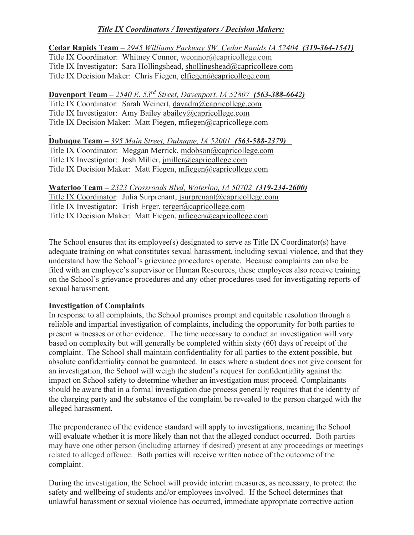# *Title IX Coordinators / Investigators / Decision Makers:*

## **Cedar Rapids Team** – *2945 Williams Parkway SW, Cedar Rapids IA 52404 (319-364-1541)*

Title IX Coordinator: Whitney Connor, [wconnor@capricollege.com](mailto:wconnor@capricollege.com) Title IX Investigator: Sara Hollingshead, shollingshead@capricollege.com Title IX Decision Maker: Chris Fiegen, clfiegen@capricollege.com

# **Davenport Team –** *2540 E. 53rd Street, Davenport, IA 52807 (563-388-6642)*

Title IX Coordinator: Sarah Weinert, davadm@capricollege.com Title IX Investigator: Amy Bailey abailey@capricollege.com Title IX Decision Maker: Matt Fiegen, mfiegen@capricollege.com

### **Dubuque Team –** *395 Main Street, Dubuque, IA 52001 (563-588-2379)*

Title IX Coordinator: Meggan Merrick, mdobson@capricollege.com Title IX Investigator: Josh Miller, jmiller@capricollege.com Title IX Decision Maker: Matt Fiegen, mfiegen@capricollege.com

**Waterloo Team –** *2323 Crossroads Blvd, Waterloo, IA 50702 (319-234-2600)* Title IX Coordinator: Julia Surprenant, jsurprenant@capricollege.com Title IX Investigator: Trish Erger, terger@capricollege.com Title IX Decision Maker: Matt Fiegen, mfiegen@capricollege.com

The School ensures that its employee(s) designated to serve as Title IX Coordinator(s) have adequate training on what constitutes sexual harassment, including sexual violence, and that they understand how the School's grievance procedures operate. Because complaints can also be filed with an employee's supervisor or Human Resources, these employees also receive training on the School's grievance procedures and any other procedures used for investigating reports of sexual harassment.

### **Investigation of Complaints**

In response to all complaints, the School promises prompt and equitable resolution through a reliable and impartial investigation of complaints, including the opportunity for both parties to present witnesses or other evidence. The time necessary to conduct an investigation will vary based on complexity but will generally be completed within sixty (60) days of receipt of the complaint. The School shall maintain confidentiality for all parties to the extent possible, but absolute confidentiality cannot be guaranteed. In cases where a student does not give consent for an investigation, the School will weigh the student's request for confidentiality against the impact on School safety to determine whether an investigation must proceed. Complainants should be aware that in a formal investigation due process generally requires that the identity of the charging party and the substance of the complaint be revealed to the person charged with the alleged harassment.

The preponderance of the evidence standard will apply to investigations, meaning the School will evaluate whether it is more likely than not that the alleged conduct occurred. Both parties may have one other person (including attorney if desired) present at any proceedings or meetings related to alleged offence. Both parties will receive written notice of the outcome of the complaint.

During the investigation, the School will provide interim measures, as necessary, to protect the safety and wellbeing of students and/or employees involved. If the School determines that unlawful harassment or sexual violence has occurred, immediate appropriate corrective action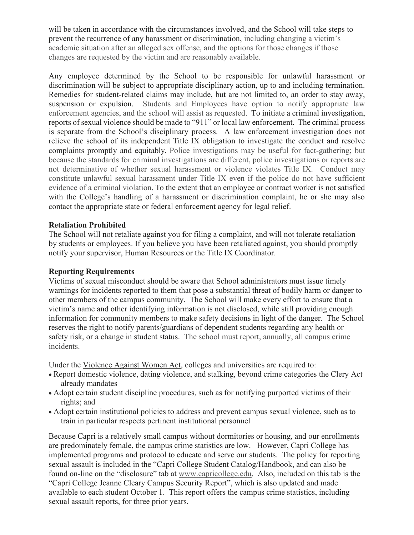will be taken in accordance with the circumstances involved, and the School will take steps to prevent the recurrence of any harassment or discrimination, including changing a victim's academic situation after an alleged sex offense, and the options for those changes if those changes are requested by the victim and are reasonably available.

Any employee determined by the School to be responsible for unlawful harassment or discrimination will be subject to appropriate disciplinary action, up to and including termination. Remedies for student-related claims may include, but are not limited to, an order to stay away, suspension or expulsion. Students and Employees have option to notify appropriate law enforcement agencies, and the school will assist as requested. To initiate a criminal investigation, reports of sexual violence should be made to "911" or local law enforcement. The criminal process is separate from the School's disciplinary process. A law enforcement investigation does not relieve the school of its independent Title IX obligation to investigate the conduct and resolve complaints promptly and equitably. Police investigations may be useful for fact-gathering; but because the standards for criminal investigations are different, police investigations or reports are not determinative of whether sexual harassment or violence violates Title IX. Conduct may constitute unlawful sexual harassment under Title IX even if the police do not have sufficient evidence of a criminal violation. To the extent that an employee or contract worker is not satisfied with the College's handling of a harassment or discrimination complaint, he or she may also contact the appropriate state or federal enforcement agency for legal relief.

### **Retaliation Prohibited**

The School will not retaliate against you for filing a complaint, and will not tolerate retaliation by students or employees. If you believe you have been retaliated against, you should promptly notify your supervisor, Human Resources or the Title IX Coordinator.

### **Reporting Requirements**

Victims of sexual misconduct should be aware that School administrators must issue timely warnings for incidents reported to them that pose a substantial threat of bodily harm or danger to other members of the campus community. The School will make every effort to ensure that a victim's name and other identifying information is not disclosed, while still providing enough information for community members to make safety decisions in light of the danger. The School reserves the right to notify parents/guardians of dependent students regarding any health or safety risk, or a change in student status. The school must report, annually, all campus crime incidents.

Under the Violence Against Women Act, colleges and universities are required to:

- Report domestic violence, dating violence, and stalking, beyond crime categories the Clery Act already mandates
- Adopt certain student discipline procedures, such as for notifying purported victims of their rights; and
- Adopt certain institutional policies to address and prevent campus sexual violence, such as to train in particular respects pertinent institutional personnel

Because Capri is a relatively small campus without dormitories or housing, and our enrollments are predominately female, the campus crime statistics are low. However, Capri College has implemented programs and protocol to educate and serve our students. The policy for reporting sexual assault is included in the "Capri College Student Catalog/Handbook, and can also be found on-line on the "disclosure" tab at [www.capricollege.edu.](http://www.capricollege.edu/) Also, included on this tab is the "Capri College Jeanne Cleary Campus Security Report", which is also updated and made available to each student October 1. This report offers the campus crime statistics, including sexual assault reports, for three prior years.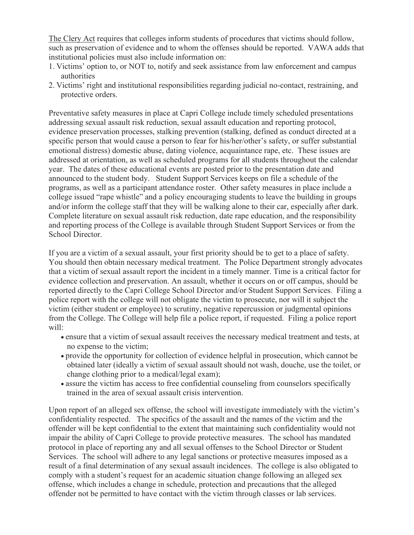The Clery Act requires that colleges inform students of procedures that victims should follow, such as preservation of evidence and to whom the offenses should be reported. VAWA adds that institutional policies must also include information on:

- 1. Victims' option to, or NOT to, notify and seek assistance from law enforcement and campus authorities
- 2. Victims' right and institutional responsibilities regarding judicial no-contact, restraining, and protective orders.

Preventative safety measures in place at Capri College include timely scheduled presentations addressing sexual assault risk reduction, sexual assault education and reporting protocol, evidence preservation processes, stalking prevention (stalking, defined as conduct directed at a specific person that would cause a person to fear for his/her/other's safety, or suffer substantial emotional distress) domestic abuse, dating violence, acquaintance rape, etc. These issues are addressed at orientation, as well as scheduled programs for all students throughout the calendar year. The dates of these educational events are posted prior to the presentation date and announced to the student body. Student Support Services keeps on file a schedule of the programs, as well as a participant attendance roster. Other safety measures in place include a college issued "rape whistle" and a policy encouraging students to leave the building in groups and/or inform the college staff that they will be walking alone to their car, especially after dark. Complete literature on sexual assault risk reduction, date rape education, and the responsibility and reporting process of the College is available through Student Support Services or from the School Director.

If you are a victim of a sexual assault, your first priority should be to get to a place of safety. You should then obtain necessary medical treatment. The Police Department strongly advocates that a victim of sexual assault report the incident in a timely manner. Time is a critical factor for evidence collection and preservation. An assault, whether it occurs on or off campus, should be reported directly to the Capri College School Director and/or Student Support Services. Filing a police report with the college will not obligate the victim to prosecute, nor will it subject the victim (either student or employee) to scrutiny, negative repercussion or judgmental opinions from the College. The College will help file a police report, if requested. Filing a police report will:

- ensure that a victim of sexual assault receives the necessary medical treatment and tests, at no expense to the victim;
- provide the opportunity for collection of evidence helpful in prosecution, which cannot be obtained later (ideally a victim of sexual assault should not wash, douche, use the toilet, or change clothing prior to a medical/legal exam);
- assure the victim has access to free confidential counseling from counselors specifically trained in the area of sexual assault crisis intervention.

Upon report of an alleged sex offense, the school will investigate immediately with the victim's confidentiality respected. The specifics of the assault and the names of the victim and the offender will be kept confidential to the extent that maintaining such confidentiality would not impair the ability of Capri College to provide protective measures. The school has mandated protocol in place of reporting any and all sexual offenses to the School Director or Student Services. The school will adhere to any legal sanctions or protective measures imposed as a result of a final determination of any sexual assault incidences. The college is also obligated to comply with a student's request for an academic situation change following an alleged sex offense, which includes a change in schedule, protection and precautions that the alleged offender not be permitted to have contact with the victim through classes or lab services.